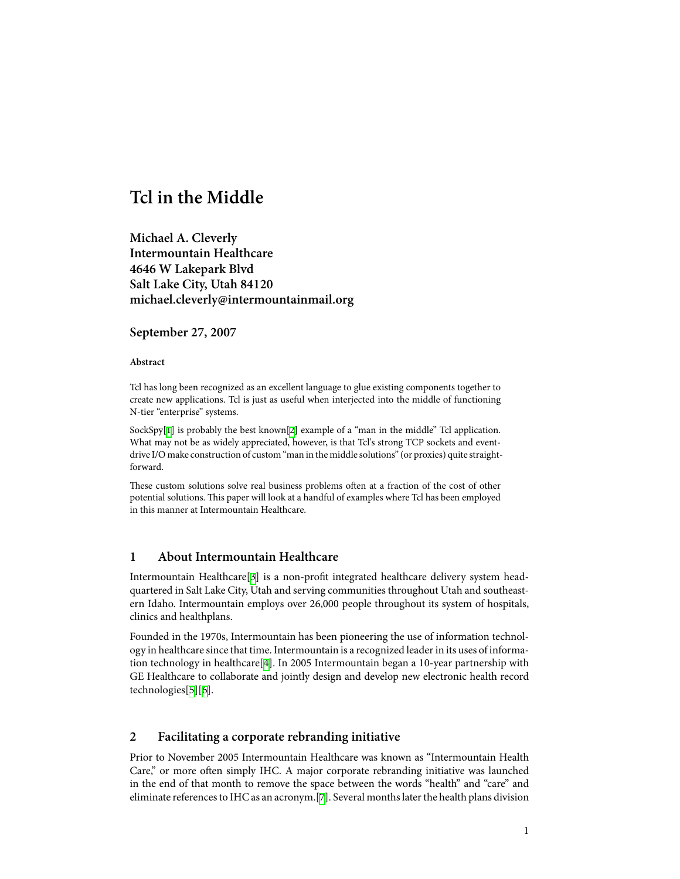# **Tcl in the Middle**

**Michael A. Cleverly Intermountain Healthcare 4646 W Lakepark Blvd Salt Lake City, Utah 84120 michael.cleverly@intermountainmail.org**

#### **September 27, 2007**

#### **Abstract**

Tcl has long been recognized as an excellent language to glue existing components together to create new applications. Tcl is just as useful when interjected into the middle of functioning N-tier "enterprise" systems.

SockSpy[[1](#page-7-0)] is probably the best known[\[2](#page-7-1)] example of a "man in the middle" Tcl application. What may not be as widely appreciated, however, is that Tcl's strong TCP sockets and eventdrive I/O make construction of custom "man in the middle solutions" (or proxies) quite straightforward.

These custom solutions solve real business problems often at a fraction of the cost of other potential solutions. This paper will look at a handful of examples where Tcl has been employed in this manner at Intermountain Healthcare.

## **1 About Intermountain Healthcare**

Intermountain Healthcare $[3]$  $[3]$  $[3]$  is a non-profit integrated healthcare delivery system headquartered in Salt Lake City, Utah and serving communities throughout Utah and southeastern Idaho. Intermountain employs over 26,000 people throughout its system of hospitals, clinics and healthplans.

Founded in the 1970s, Intermountain has been pioneering the use of information technology in healthcare since that time.Intermountain is a recognized leaderin its uses of information technology in healthcare[\[4](#page-7-3)]. In 2005 Intermountain began a 10-year partnership with GE Healthcare to collaborate and jointly design and develop new electronic health record technologies[\[5](#page-7-4)][[6\]](#page-7-5).

## **2 Facilitating a corporate rebranding initiative**

Prior to November 2005 Intermountain Healthcare was known as "Intermountain Health Care," or more often simply IHC. A major corporate rebranding initiative was launched in the end of that month to remove the space between the words "health" and "care" and eliminate references to IHC as an acronym.[[7\]](#page-7-6). Several months later the health plans division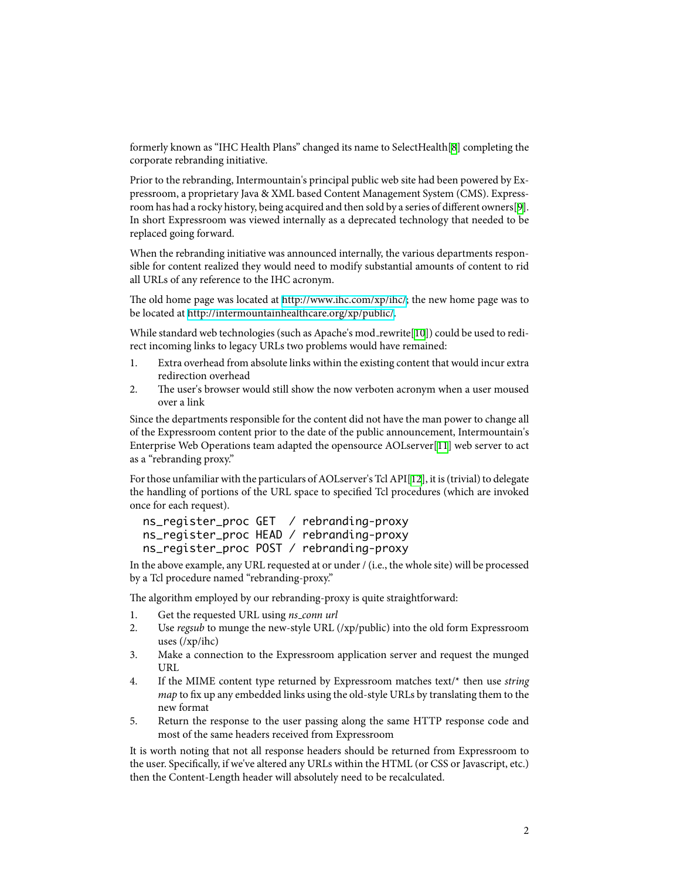formerly known as "IHC Health Plans" changed its name to SelectHealth[[8\]](#page-7-7) completing the corporate rebranding initiative.

Prior to the rebranding, Intermountain's principal public web site had been powered by Expressroom, a proprietary Java & XML based Content Management System (CMS). Express-room has had a rocky history, being acquired and then sold by a series of different owners[[9\]](#page-7-8). In short Expressroom was viewed internally as a deprecated technology that needed to be replaced going forward.

When the rebranding initiative was announced internally, the various departments responsible for content realized they would need to modify substantial amounts of content to rid all URLs of any reference to the IHC acronym.

The old home page was located at <http://www.ihc.com/xp/ihc/>; the new home page was to be located at [http://intermountainhealthcare.org/xp/public/.](http://intermountainhealthcare.org/xp/public/)

While standard web technologies (such as Apache's mod\_rewrite[\[10\]](#page-7-9)) could be used to redirect incoming links to legacy URLs two problems would have remained:

- 1. Extra overhead from absolute links within the existing content that would incur extra redirection overhead
- 2. The user's browser would still show the now verboten acronym when a user moused over a link

Since the departments responsible for the content did not have the man power to change all of the Expressroom content prior to the date of the public announcement, Intermountain's Enterprise Web Operations team adapted the opensource AOLserver[\[11\]](#page-7-10) web server to act as a "rebranding proxy."

For those unfamiliar with the particulars of AOLserver's Tcl API[\[12\]](#page-7-11), it is (trivial) to delegate the handling of portions of the URL space to specified Tcl procedures (which are invoked once for each request).

```
ns_register_proc GET / rebranding-proxy
ns_register_proc HEAD / rebranding-proxy
ns_register_proc POST / rebranding-proxy
```
In the above example, any URL requested at or under / (i.e., the whole site) will be processed by a Tcl procedure named "rebranding-proxy."

The algorithm employed by our rebranding-proxy is quite straightforward:

- 1. Get the requested URL using *ns\_conn url*
- 2. Use regsub to munge the new-style URL (/xp/public) into the old form Expressroom uses (/xp/ihc)
- 3. Make a connection to the Expressroom application server and request the munged URL
- 4. If the MIME content type returned by Expressroom matches text/\* then use string map to fix up any embedded links using the old-style URLs by translating them to the new format
- 5. Return the response to the user passing along the same HTTP response code and most of the same headers received from Expressroom

It is worth noting that not all response headers should be returned from Expressroom to the user. Specifically, if we've altered any URLs within the HTML (or CSS or Javascript, etc.) then the Content-Length header will absolutely need to be recalculated.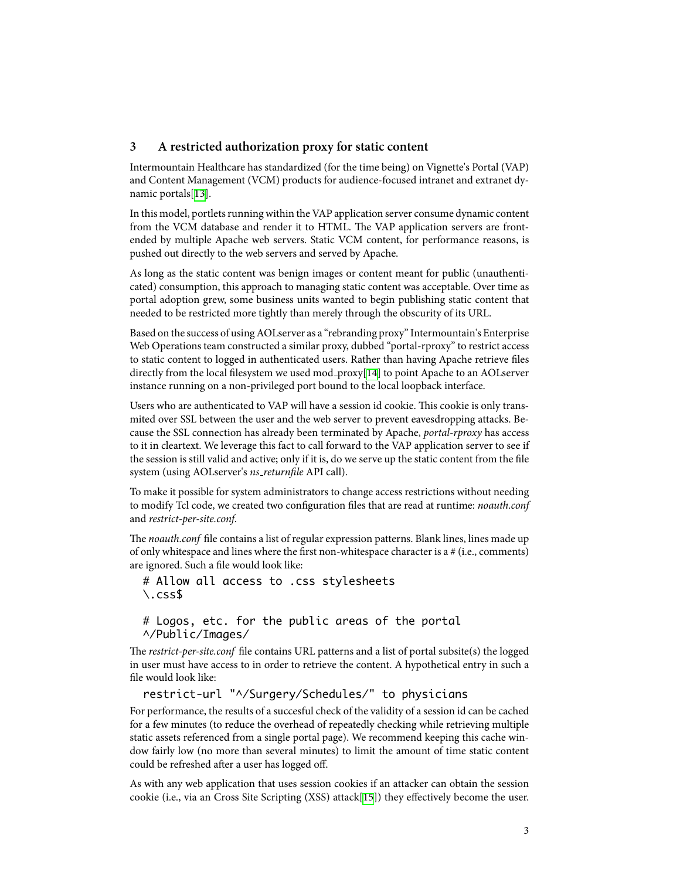#### **3 A restricted authorization proxy for static content**

Intermountain Healthcare has standardized (for the time being) on Vignette's Portal (VAP) and Content Management (VCM) products for audience-focused intranet and extranet dynamic portals[\[13\]](#page-7-12).

In this model, portlets running within the VAP application server consume dynamic content from the VCM database and render it to HTML. The VAP application servers are frontended by multiple Apache web servers. Static VCM content, for performance reasons, is pushed out directly to the web servers and served by Apache.

As long as the static content was benign images or content meant for public (unauthenticated) consumption, this approach to managing static content was acceptable. Over time as portal adoption grew, some business units wanted to begin publishing static content that needed to be restricted more tightly than merely through the obscurity of its URL.

Based on the success of usingAOLserver as a "rebranding proxy" Intermountain's Enterprise Web Operations team constructed a similar proxy, dubbed "portal-rproxy" to restrict access to static content to logged in authenticated users. Rather than having Apache retrieve files directly from the local filesystem we used mod\_proxy[\[14\]](#page-7-13) to point Apache to an AOLserver instance running on a non-privileged port bound to the local loopback interface.

Users who are authenticated to VAP will have a session id cookie. This cookie is only transmited over SSL between the user and the web server to prevent eavesdropping attacks. Because the SSL connection has already been terminated by Apache, portal-rproxy has access to it in cleartext. We leverage this fact to call forward to the VAP application server to see if the session is still valid and active; only if it is, do we serve up the static content from the file system (using AOLserver's ns\_returnfile API call).

To make it possible for system administrators to change access restrictions without needing to modify Tcl code, we created two configuration files that are read at runtime: noauth.conf and restrict-per-site.conf.

The *noauth.conf* file contains a list of regular expression patterns. Blank lines, lines made up of only whitespace and lines where the first non-whitespace character is a  $#$  (i.e., comments) are ignored. Such a file would look like:

```
# Allow all access to .css stylesheets
\sqrt{cos s}
```

```
# Logos, etc. for the public areas of the portal
^/Public/Images/
```
The restrict-per-site.conf file contains URL patterns and a list of portal subsite(s) the logged in user must have access to in order to retrieve the content. A hypothetical entry in such a file would look like:

```
restrict-url "^/Surgery/Schedules/" to physicians
```
For performance, the results of a succesful check of the validity of a session id can be cached for a few minutes (to reduce the overhead of repeatedly checking while retrieving multiple static assets referenced from a single portal page). We recommend keeping this cache window fairly low (no more than several minutes) to limit the amount of time static content could be refreshed after a user has logged off.

As with any web application that uses session cookies if an attacker can obtain the session cookie (i.e., via an Cross Site Scripting  $(XSS)$  attack $[15]$ ) they effectively become the user.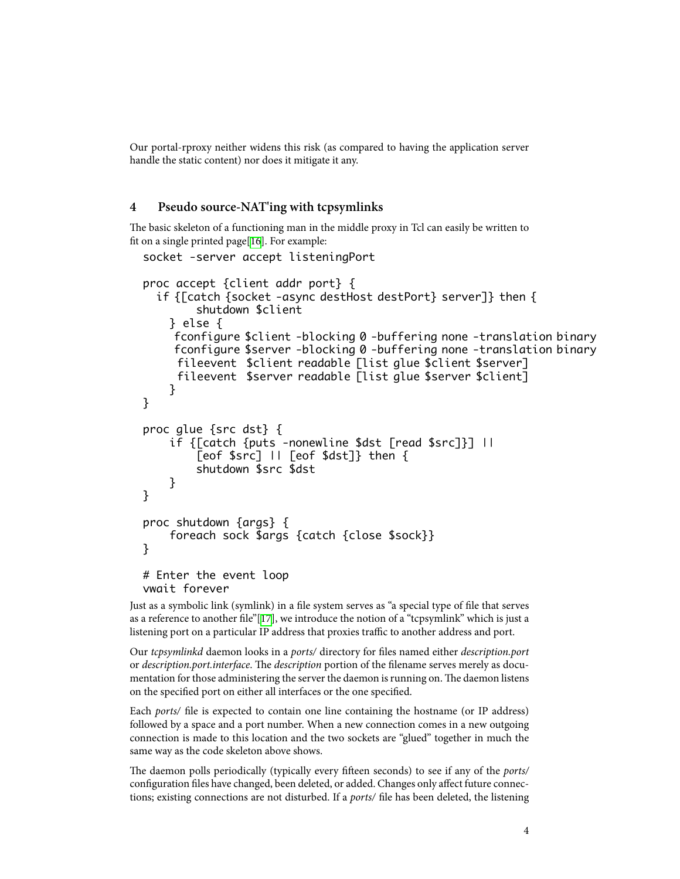Our portal-rproxy neither widens this risk (as compared to having the application server handle the static content) nor does it mitigate it any.

## **4 Pseudo source-NAT'ing with tcpsymlinks**

The basic skeleton of a functioning man in the middle proxy in Tcl can easily be written to fit on a single printed page $[16]$  $[16]$  $[16]$ . For example:

```
socket -server accept listeningPort
proc accept {client addr port} {
  if {[catch {socket -async destHost destPort} server]} then {
        shutdown $client
    } else {
    fconfigure $client -blocking 0 -buffering none -translation binary
    fconfigure $server -blocking 0 -buffering none -translation binary
     fileevent $client readable [list glue $client $server]
     fileevent $server readable [list glue $server $client]
    }
}
proc glue {src dst} {
    if {[catch {puts -nonewline $dst [read $src]}] ||
        [eof $src] || [eof $dst]} then {
        shutdown $src $dst
    }
}
proc shutdown {args} {
    foreach sock $args {catch {close $sock}}
}
# Enter the event loop
vwait forever
```
Just as a symbolic link (symlink) in a file system serves as "a special type of file that serves as a reference to another file"[[17](#page-7-16)], we introduce the notion of a "tcpsymlink" which is just a listening port on a particular IP address that proxies traffic to another address and port.

Our tcpsymlinkd daemon looks in a ports/ directory for files named either description.port or description.port.interface. The description portion of the filename serves merely as documentation for those administering the server the daemon is running on. The daemon listens on the specified port on either all interfaces or the one specified.

Each *ports*/ file is expected to contain one line containing the hostname (or IP address) followed by a space and a port number. When a new connection comes in a new outgoing connection is made to this location and the two sockets are "glued" together in much the same way as the code skeleton above shows.

The daemon polls periodically (typically every fifteen seconds) to see if any of the *ports*/ configuration files have changed, been deleted, or added. Changes only affect future connections; existing connections are not disturbed. If a *ports*/ file has been deleted, the listening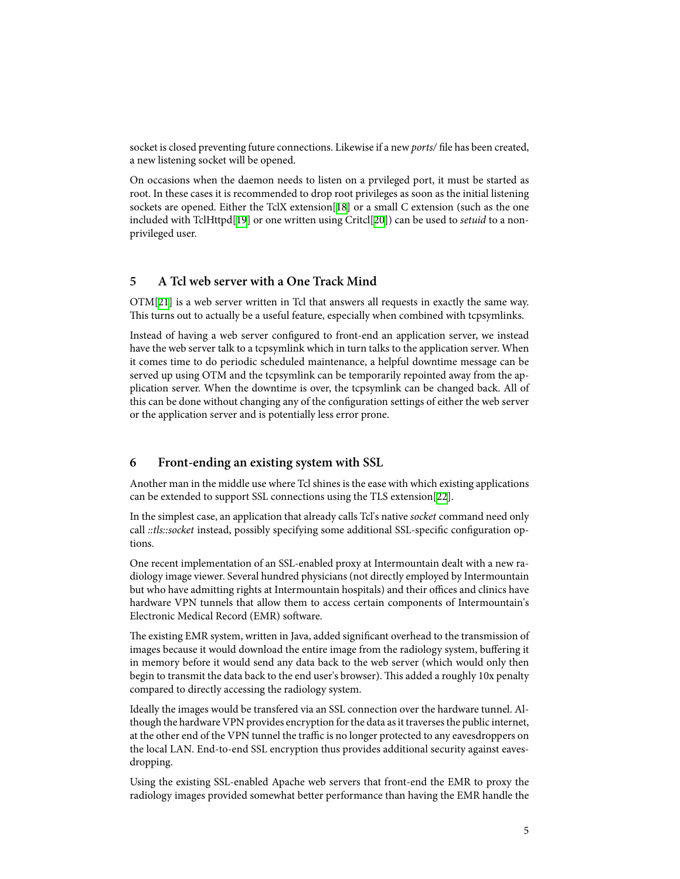socket is closed preventing future connections. Likewise if a new ports/ file has been created, a new listening socket will be opened.

On occasions when the daemon needs to listen on a prvileged port, it must be started as root. In these cases it is recommended to drop root privileges as soon as the initial listening sockets are opened. Either the TclX extension[[18](#page-7-17)] or a small C extension (such as the one included with TclHttpd[[19](#page-7-18)] or one written using Critcl[[20](#page-8-0)]) can be used to setuid to a nonprivileged user.

## **5 A Tcl web server with a One Track Mind**

OTM[[21](#page-8-1)] is a web server written in Tcl that answers all requests in exactly the same way. This turns out to actually be a useful feature, especially when combined with tcpsymlinks.

Instead of having a web server configured to front-end an application server, we instead have the web server talk to a tcpsymlink which in turn talks to the application server. When it comes time to do periodic scheduled maintenance, a helpful downtime message can be served up using OTM and the tcpsymlink can be temporarily repointed away from the application server. When the downtime is over, the tcpsymlink can be changed back. All of this can be done without changing any of the configuration settings of either the web server or the application server and is potentially less error prone.

#### **6 Front-ending an existing system with SSL**

Another man in the middle use where Tcl shines is the ease with which existing applications can be extended to support SSL connections using the TLS extension[\[22\]](#page-8-2).

In the simplest case, an application that already calls Tcl's native socket command need only call ::tls::socket instead, possibly specifying some additional SSL-specific configuration options.

One recent implementation of an SSL-enabled proxy at Intermountain dealt with a new radiology image viewer. Several hundred physicians (not directly employed by Intermountain but who have admitting rights at Intermountain hospitals) and their offices and clinics have hardware VPN tunnels that allow them to access certain components of Intermountain's Electronic Medical Record (EMR) software.

The existing EMR system, written in Java, added significant overhead to the transmission of images because it would download the entire image from the radiology system, buffering it in memory before it would send any data back to the web server (which would only then begin to transmit the data back to the end user's browser). This added a roughly 10x penalty compared to directly accessing the radiology system.

Ideally the images would be transfered via an SSL connection over the hardware tunnel. Although the hardware VPN provides encryption forthe data asit traversesthe public internet, at the other end of the VPN tunnel the traffic is no longer protected to any eavesdroppers on the local LAN. End-to-end SSL encryption thus provides additional security against eavesdropping.

Using the existing SSL-enabled Apache web servers that front-end the EMR to proxy the radiology images provided somewhat better performance than having the EMR handle the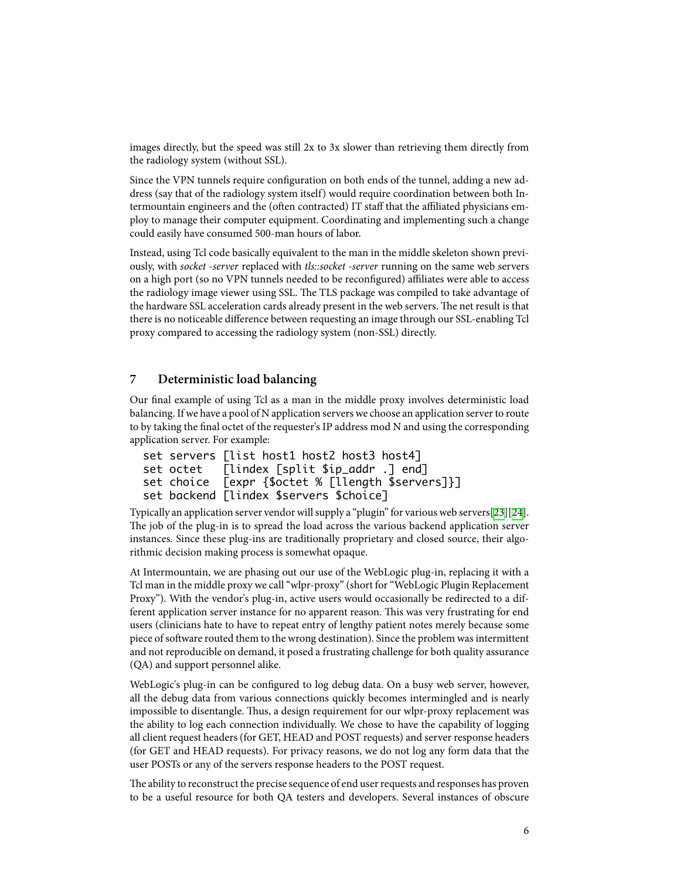images directly, but the speed was still 2x to 3x slower than retrieving them directly from the radiology system (without SSL).

Since the VPN tunnels require configuration on both ends of the tunnel, adding a new address (say that of the radiology system itself) would require coordination between both Intermountain engineers and the (often contracted) IT staff that the affiliated physicians employ to manage their computer equipment. Coordinating and implementing such a change could easily have consumed 500-man hours of labor.

Instead, using Tcl code basically equivalent to the man in the middle skeleton shown previously, with socket -server replaced with tls::socket -server running on the same web servers on a high port (so no VPN tunnels needed to be reconfigured) affiliates were able to access the radiology image viewer using SSL. The TLS package was compiled to take advantage of the hardware SSL acceleration cards already present in the web servers. The net result is that there is no noticeable difference between requesting an image through our SSL-enabling Tcl proxy compared to accessing the radiology system (non-SSL) directly.

## **7 Deterministic load balancing**

Our final example of using Tcl as a man in the middle proxy involves deterministic load balancing. If we have a pool of N application servers we choose an application server to route to by taking the final octet of the requester's IP address mod N and using the corresponding application server. For example:

```
set servers [list host1 host2 host3 host4]
set octet [lindex [split $ip_addr .] end]
set choice [expr {$octet % [llength $servers]}]
set backend [lindex $servers $choice]
```
Typically an application server vendorwillsupply a "plugin" for variousweb servers[[23](#page-8-3)][\[24\]](#page-8-4). The job of the plug-in is to spread the load across the various backend application server instances. Since these plug-ins are traditionally proprietary and closed source, their algorithmic decision making process is somewhat opaque.

At Intermountain, we are phasing out our use of the WebLogic plug-in, replacing it with a Tcl man in the middle proxy we call "wlpr-proxy" (short for "WebLogic Plugin Replacement Proxy"). With the vendor's plug-in, active users would occasionally be redirected to a different application server instance for no apparent reason. This was very frustrating for end users (clinicians hate to have to repeat entry of lengthy patient notes merely because some piece of software routed them to the wrong destination). Since the problem was intermittent and not reproducible on demand, it posed a frustrating challenge for both quality assurance (QA) and support personnel alike.

WebLogic's plug-in can be configured to log debug data. On a busy web server, however, all the debug data from various connections quickly becomes intermingled and is nearly impossible to disentangle. Thus, a design requirement for our wlpr-proxy replacement was the ability to log each connection individually. We chose to have the capability of logging all client request headers (for GET, HEAD and POST requests) and server response headers (for GET and HEAD requests). For privacy reasons, we do not log any form data that the user POSTs or any of the servers response headers to the POST request.

The ability to reconstruct the precise sequence of end user requests and responses has proven to be a useful resource for both QA testers and developers. Several instances of obscure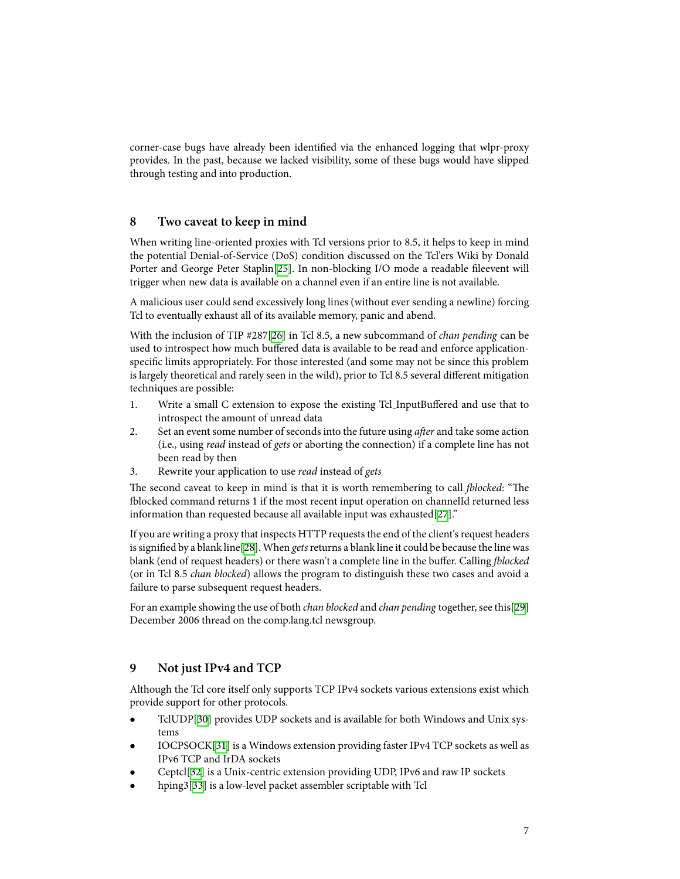corner-case bugs have already been identified via the enhanced logging that wlpr-proxy provides. In the past, because we lacked visibility, some of these bugs would have slipped through testing and into production.

## **8 Two caveat to keep in mind**

When writing line-oriented proxies with Tcl versions prior to 8.5, it helps to keep in mind the potential Denial-of-Service (DoS) condition discussed on the Tcl'ers Wiki by Donald Porter and George Peter Staplin<sup>[[25\]](#page-8-5)</sup>. In non-blocking I/O mode a readable fileevent will trigger when new data is available on a channel even if an entire line is not available.

A malicious user could send excessively long lines (without ever sending a newline) forcing Tcl to eventually exhaust all of its available memory, panic and abend.

With the inclusion of TIP #287[[26](#page-8-6)] in Tcl 8.5, a new subcommand of *chan pending* can be used to introspect how much buffered data is available to be read and enforce applicationspecific limits appropriately. For those interested (and some may not be since this problem is largely theoretical and rarely seen in the wild), prior to Tcl 8.5 several different mitigation techniques are possible:

- 1. Write a small C extension to expose the existing Tcl\_InputBuffered and use that to introspect the amount of unread data
- 2. Set an event some number of seconds into the future using *after* and take some action (i.e., using read instead of gets or aborting the connection) if a complete line has not been read by then
- 3. Rewrite your application to use read instead of gets

The second caveat to keep in mind is that it is worth remembering to call *fblocked*: "The fblocked command returns 1 if the most recent input operation on channelId returned less information than requested because all available input was exhausted[\[27\]](#page-8-7)."

If you are writing a proxy that inspects HTTP requests the end of the client's request headers is signified by a blank line[[28](#page-8-8)]. When gets returns a blank line it could be because the line was blank (end of request headers) or there wasn't a complete line in the buffer. Calling *fblocked* (or in Tcl 8.5 chan blocked) allows the program to distinguish these two cases and avoid a failure to parse subsequent request headers.

For an example showing the use of both *chan blocked* and *chan pending* together, see this[\[29](#page-8-9)] December 2006 thread on the comp.lang.tcl newsgroup.

## **9 Not just IPv4 and TCP**

Although the Tcl core itself only supports TCP IPv4 sockets various extensions exist which provide support for other protocols.

- *•* TclUDP[[30](#page-8-10)] provides UDP sockets and is available for both Windows and Unix systems
- *•* IOCPSOCK[[31](#page-8-11)] is a Windows extension providing faster IPv4 TCP sockets as well as IPv6 TCP and IrDA sockets
- *•* Ceptcl[[32](#page-8-12)] is a Unix-centric extension providing UDP, IPv6 and raw IP sockets
- *•* hping3[\[33](#page-8-13)] is a low-level packet assembler scriptable with Tcl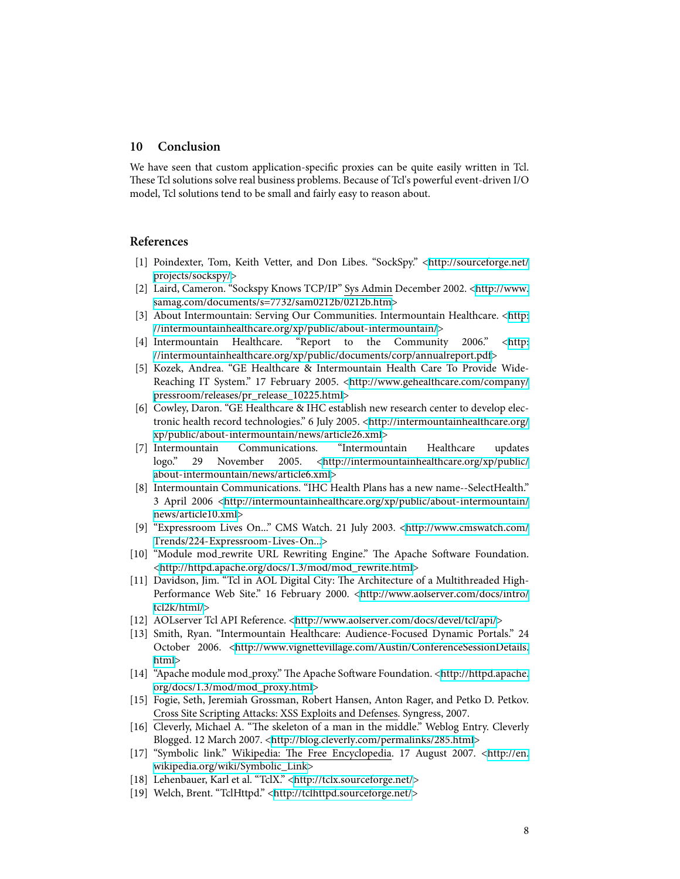#### **10 Conclusion**

We have seen that custom application-specific proxies can be quite easily written in Tcl. These Tcl solutions solve real business problems. Because of Tcl's powerful event-driven I/O model, Tcl solutions tend to be small and fairly easy to reason about.

### **References**

- <span id="page-7-0"></span>[1] Poindexter, Tom, Keith Vetter, and Don Libes. "SockSpy." <[http://sourceforge.net/](http://sourceforge.net/projects/sockspy/) [projects/sockspy/>](http://sourceforge.net/projects/sockspy/)
- <span id="page-7-1"></span>[2] Laird, Cameron. "Sockspy Knows TCP/IP" Sys Admin December 2002. [<http://www.](http://www.samag.com/documents/s=7732/sam0212b/0212b.htm) [samag.com/documents/s=7732/sam0212b/0212b.htm>](http://www.samag.com/documents/s=7732/sam0212b/0212b.htm)
- <span id="page-7-2"></span>[3] About Intermountain: Serving Our Communities. Intermountain Healthcare. <[http:](http://intermountainhealthcare.org/xp/public/about-intermountain/) [//intermountainhealthcare.org/xp/public/about-intermountain/](http://intermountainhealthcare.org/xp/public/about-intermountain/)>
- <span id="page-7-3"></span>[4] Intermountain Healthcare. "Report to the Community 2006." <[http:](http://intermountainhealthcare.org/xp/public/documents/corp/annualreport.pdf) [//intermountainhealthcare.org/xp/public/documents/corp/annualreport.pdf>](http://intermountainhealthcare.org/xp/public/documents/corp/annualreport.pdf)
- <span id="page-7-4"></span>[5] Kozek, Andrea. "GE Healthcare & Intermountain Health Care To Provide Wide-Reaching IT System." 17 February 2005. <[http://www.gehealthcare.com/company/](http://www.gehealthcare.com/company/pressroom/releases/pr_release_10225.html) [pressroom/releases/pr\\_release\\_10225.html>](http://www.gehealthcare.com/company/pressroom/releases/pr_release_10225.html)
- <span id="page-7-5"></span>[6] Cowley, Daron. "GE Healthcare & IHC establish new research center to develop electronic health record technologies." 6 July 2005. [<http://intermountainhealthcare.org/](http://intermountainhealthcare.org/xp/public/about-intermountain/news/article26.xml) [xp/public/about-intermountain/news/article26.xml>](http://intermountainhealthcare.org/xp/public/about-intermountain/news/article26.xml)
- <span id="page-7-6"></span>[7] Intermountain Communications. "Intermountain Healthcare updates logo." 29 November 2005. <[http://intermountainhealthcare.org/xp/public/](http://intermountainhealthcare.org/xp/public/about-intermountain/news/article6.xml) [about-intermountain/news/article6.xml>](http://intermountainhealthcare.org/xp/public/about-intermountain/news/article6.xml)
- <span id="page-7-7"></span>[8] Intermountain Communications. "IHC Health Plans has a new name--SelectHealth." 3 April 2006 <[http://intermountainhealthcare.org/xp/public/about-intermountain/](http://intermountainhealthcare.org/xp/public/about-intermountain/news/article10.xml) [news/article10.xml>](http://intermountainhealthcare.org/xp/public/about-intermountain/news/article10.xml)
- <span id="page-7-8"></span>[9] "Expressroom Lives On..." CMS Watch. 21 July 2003. [<http://www.cmswatch.com/](http://www.cmswatch.com/Trends/224-Expressroom-Lives-On...) [Trends/224-Expressroom-Lives-On...>](http://www.cmswatch.com/Trends/224-Expressroom-Lives-On...)
- <span id="page-7-9"></span>[10] "Module mod\_rewrite URL Rewriting Engine." The Apache Software Foundation. <[http://httpd.apache.org/docs/1.3/mod/mod\\_rewrite.html>](http://httpd.apache.org/docs/1.3/mod/mod_rewrite.html)
- <span id="page-7-10"></span>[11] Davidson, Jim. "Tcl in AOL Digital City: The Architecture of a Multithreaded High-Performance Web Site." 16 February 2000. [<http://www.aolserver.com/docs/intro/](http://www.aolserver.com/docs/intro/tcl2k/html/) [tcl2k/html/](http://www.aolserver.com/docs/intro/tcl2k/html/)>
- <span id="page-7-11"></span>[12] AOLserver Tcl API Reference. <<http://www.aolserver.com/docs/devel/tcl/api/>>
- <span id="page-7-12"></span>[13] Smith, Ryan. "Intermountain Healthcare: Audience-Focused Dynamic Portals." 24 October 2006. <[http://www.vignettevillage.com/Austin/ConferenceSessionDetails.](http://www.vignettevillage.com/Austin/ConferenceSessionDetails.html) [html](http://www.vignettevillage.com/Austin/ConferenceSessionDetails.html)>
- <span id="page-7-13"></span>[14] "Apache module mod\_proxy." The Apache Software Foundation. <[http://httpd.apache.](http://httpd.apache.org/docs/1.3/mod/mod_proxy.html) [org/docs/1.3/mod/mod\\_proxy.html](http://httpd.apache.org/docs/1.3/mod/mod_proxy.html)>
- <span id="page-7-14"></span>[15] Fogie, Seth, Jeremiah Grossman, Robert Hansen, Anton Rager, and Petko D. Petkov. Cross Site Scripting Attacks: XSS Exploits and Defenses. Syngress, 2007.
- <span id="page-7-15"></span>[16] Cleverly, Michael A. "The skeleton of a man in the middle." Weblog Entry. Cleverly Blogged. 12 March 2007. [<http://blog.cleverly.com/permalinks/285.html>](http://blog.cleverly.com/permalinks/285.html)
- <span id="page-7-16"></span>[17] "Symbolic link." Wikipedia: The Free Encyclopedia. 17 August 2007. [<http://en.](http://en.wikipedia.org/wiki/Symbolic_Link) [wikipedia.org/wiki/Symbolic\\_Link>](http://en.wikipedia.org/wiki/Symbolic_Link)
- <span id="page-7-17"></span>[18] Lehenbauer, Karl et al. "TclX." <[http://tclx.sourceforge.net/>](http://tclx.sourceforge.net/)
- <span id="page-7-18"></span>[19] Welch, Brent. "TclHttpd." [<http://tclhttpd.sourceforge.net/>](http://tclhttpd.sourceforge.net/)